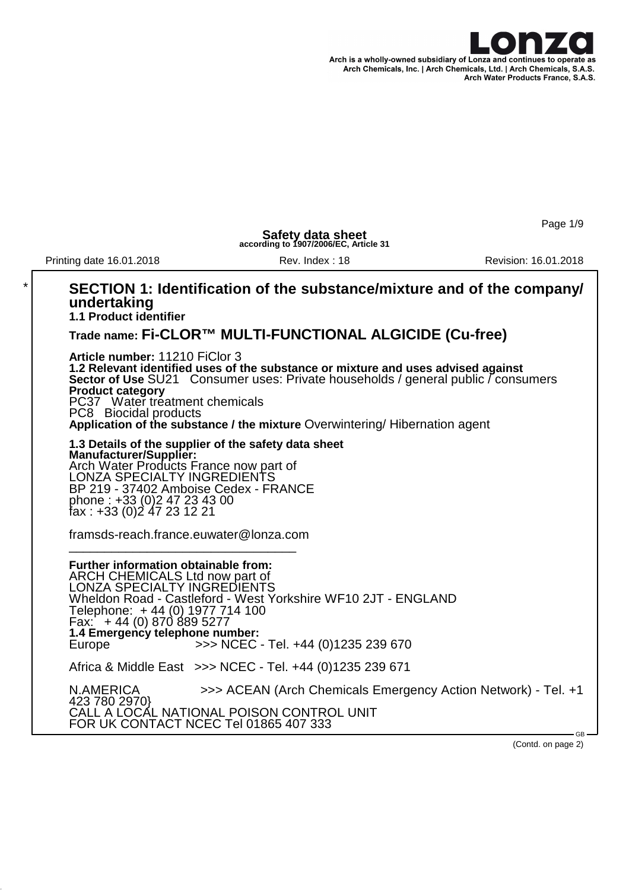

Page 1/9

**Safety data sheet according to 1907/2006/EC, Article 31**

Printing date 16.01.2018 Rev. Index : 18 Revision: 16.01.2018

#### \* **SECTION 1: Identification of the substance/mixture and of the company/ undertaking 1.1 Product identifier Trade name: Fi-CLOR™ MULTI-FUNCTIONAL ALGICIDE (Cu-free) Article number:** 11210 FiClor 3 **1.2 Relevant identified uses of the substance or mixture and uses advised against Sector of Use** SU21 Consumer uses: Private households / general public / consumers **Product category** PC37 Water treatment chemicals PC8 Biocidal products **Application of the substance / the mixture** Overwintering/ Hibernation agent **1.3 Details of the supplier of the safety data sheet Manufacturer/Supplier:** Arch Water Products France now part of LONZA SPECIALTY INGREDIENTS BP 219 - 37402 Amboise Cedex - FRANCE phone : +33 (0)2 47 23 43 00 fax : +33 (0)2 47 23 12 21 framsds-reach.france.euwater@lonza.com \_\_\_\_\_\_\_\_\_\_\_\_\_\_\_\_\_\_\_\_\_\_\_\_\_\_\_\_\_\_\_\_ **Further information obtainable from:** ARCH CHEMICALS Ltd now part of LONZA SPECIALTY INGREDIENTS Wheldon Road - Castleford - West Yorkshire WF10 2JT - ENGLAND Telephone: + 44 (0) 1977 714 100 Fax: + 44 (0) 870 889 5277 **1.4 Emergency telephone number:**<br>Europe **19.9 >>>>** NCEC >>> NCEC - Tel. +44 (0)1235 239 670 Africa & Middle East >>> NCEC - Tel. +44 (0)1235 239 671 N.AMERICA >>> ACEAN (Arch Chemicals Emergency Action Network) - Tel. +1 423 780 2970} CALL A LOCAL NATIONAL POISON CONTROL UNIT FOR UK CONTACT NCEC Tel 01865 407 333 GB

(Contd. on page 2)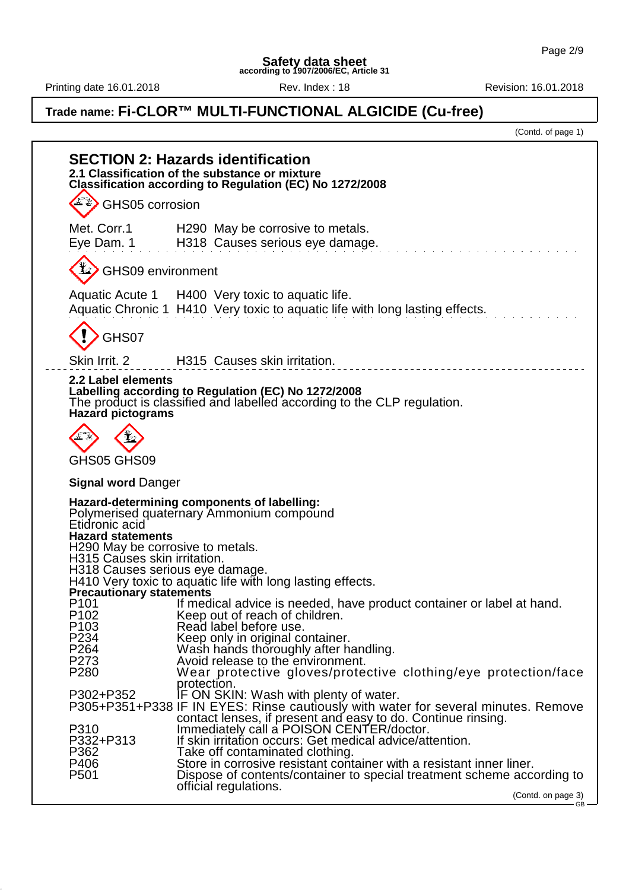Printing date 16.01.2018 **Rev.** Index : 18 Rev. Index : 18 Revision: 16.01.2018

## **Trade name: Fi-CLOR™ MULTI-FUNCTIONAL ALGICIDE (Cu-free)**

(Contd. of page 1)

| <b>SECTION 2: Hazards identification</b><br>2.1 Classification of the substance or mixture<br>Classification according to Regulation (EC) No 1272/2008                                                           |                                                                                                                                                                                                                                                                                                                     |                    |  |  |
|------------------------------------------------------------------------------------------------------------------------------------------------------------------------------------------------------------------|---------------------------------------------------------------------------------------------------------------------------------------------------------------------------------------------------------------------------------------------------------------------------------------------------------------------|--------------------|--|--|
| GHS05 corrosion                                                                                                                                                                                                  |                                                                                                                                                                                                                                                                                                                     |                    |  |  |
| Met. Corr.1<br>Eye Dam. 1                                                                                                                                                                                        | H290 May be corrosive to metals.<br>H318 Causes serious eye damage.                                                                                                                                                                                                                                                 |                    |  |  |
| GHS09 environment                                                                                                                                                                                                |                                                                                                                                                                                                                                                                                                                     |                    |  |  |
|                                                                                                                                                                                                                  | Aquatic Acute 1 H400 Very toxic to aquatic life.<br>Aquatic Chronic 1 H410 Very toxic to aquatic life with long lasting effects.                                                                                                                                                                                    |                    |  |  |
| GHS07                                                                                                                                                                                                            |                                                                                                                                                                                                                                                                                                                     |                    |  |  |
| Skin Irrit. 2                                                                                                                                                                                                    | H315 Causes skin irritation.                                                                                                                                                                                                                                                                                        |                    |  |  |
| 2.2 Label elements<br><b>Hazard pictograms</b>                                                                                                                                                                   | Labelling according to Regulation (EC) No 1272/2008<br>The product is classified and labelled according to the CLP regulation.                                                                                                                                                                                      |                    |  |  |
|                                                                                                                                                                                                                  |                                                                                                                                                                                                                                                                                                                     |                    |  |  |
| GHS05 GHS09                                                                                                                                                                                                      |                                                                                                                                                                                                                                                                                                                     |                    |  |  |
| <b>Signal word Danger</b>                                                                                                                                                                                        |                                                                                                                                                                                                                                                                                                                     |                    |  |  |
| Etidronic acid<br><b>Hazard statements</b><br>H290 May be corrosive to metals.<br>H315 Causes skin irritation.<br>H318 Causes serious eye damage.<br><b>Precautionary statements</b><br>P <sub>101</sub><br>P102 | Hazard-determining components of labelling:<br>Polymerised quaternary Ammonium compound<br>H410 Very toxic to aquatic life with long lasting effects.<br>If medical advice is needed, have product container or label at hand.<br>Keep out of reach of children.                                                    |                    |  |  |
| P <sub>103</sub>                                                                                                                                                                                                 | Read label before use.                                                                                                                                                                                                                                                                                              |                    |  |  |
| P234<br>P <sub>264</sub>                                                                                                                                                                                         | Keep only in original container.<br>Wash hands thoroughly after handling.                                                                                                                                                                                                                                           |                    |  |  |
| P273<br>P <sub>280</sub>                                                                                                                                                                                         | Avoid release to the environment.<br>Wear protective gloves/protective clothing/eye protection/face                                                                                                                                                                                                                 |                    |  |  |
| P302+P352<br>P310<br>P332+P313<br>P362                                                                                                                                                                           | protection.<br>IF ON SKIN: Wash with plenty of water.<br>P305+P351+P338 IF IN EYES: Rinse cautiously with water for several minutes. Remove<br>contact lenses, if present and easy to do. Continue rinsing.<br>Immediately call a POISON CENTER/doctor.<br>If skin irritation occurs: Get medical advice/attention. |                    |  |  |
| P406<br>P <sub>501</sub>                                                                                                                                                                                         | Take off contaminated clothing.<br>Store in corrosive resistant container with a resistant inner liner.                                                                                                                                                                                                             |                    |  |  |
|                                                                                                                                                                                                                  | Dispose of contents/container to special treatment scheme according to<br>official regulations.                                                                                                                                                                                                                     | (Contd. on page 3) |  |  |
|                                                                                                                                                                                                                  |                                                                                                                                                                                                                                                                                                                     | $-$ GB $-$         |  |  |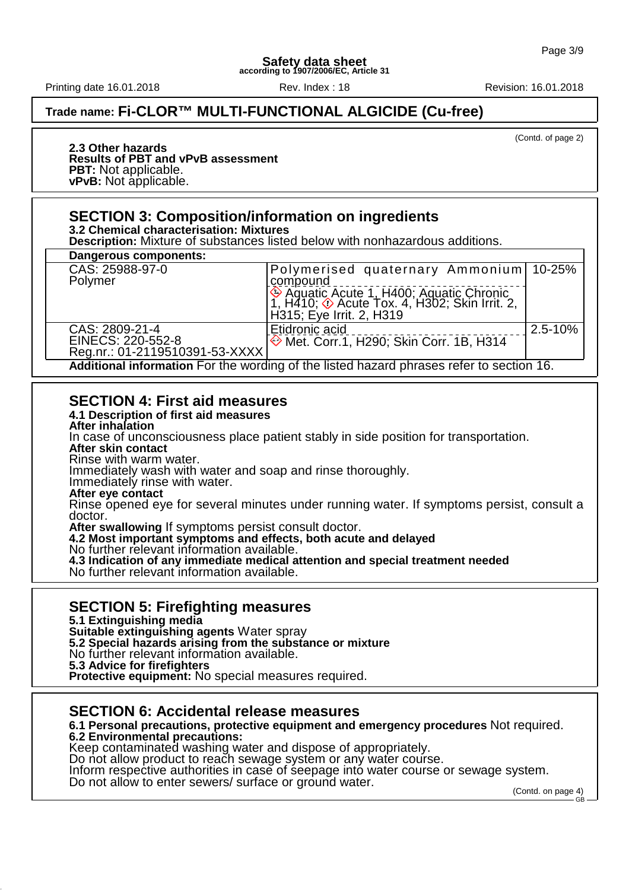Printing date 16.01.2018 Rev. Index : 18 Revision: 16.01.2018

## **Trade name: Fi-CLOR™ MULTI-FUNCTIONAL ALGICIDE (Cu-free)**

(Contd. of page 2)

#### **2.3 Other hazards Results of PBT and vPvB assessment PBT:** Not applicable. **vPvB:** Not applicable.

### **SECTION 3: Composition/information on ingredients**

**3.2 Chemical characterisation: Mixtures**

**Description:** Mixture of substances listed below with nonhazardous additions.

| Dangerous components:                                                                    |                                                                                           |         |  |
|------------------------------------------------------------------------------------------|-------------------------------------------------------------------------------------------|---------|--|
| CAS: 25988-97-0                                                                          | Polymerised quaternary Ammonium 10-25%                                                    |         |  |
| Polymer                                                                                  | compound                                                                                  |         |  |
|                                                                                          |                                                                                           |         |  |
|                                                                                          | ♦ Aquatic Acute 1, H400; Aquatic Chronic<br>1, H410; ♦ Acute Tox. 4, H302; Skin Irrit. 2, |         |  |
|                                                                                          | H315; Eye Irrit. 2, H319                                                                  |         |  |
| CAS: 2809-21-4                                                                           | Etidronic acid                                                                            | 2.5-10% |  |
| EINECS: 220-552-8                                                                        | ♦ Met. Corr.1, H290; Skin Corr. 1B, H314                                                  |         |  |
| Reg.nr.: 01-2119510391-53-XXXX                                                           |                                                                                           |         |  |
| Additional information For the wording of the listed hazard phrases refer to section 16. |                                                                                           |         |  |

## **SECTION 4: First aid measures**

**4.1 Description of first aid measures**

**After inhalation**

In case of unconsciousness place patient stably in side position for transportation.

**After skin contact**

Rinse with warm water.

Immediately wash with water and soap and rinse thoroughly.

Immediately rinse with water.

**After eye contact**

Rinse opened eye for several minutes under running water. If symptoms persist, consult a doctor.

**After swallowing** If symptoms persist consult doctor.

**4.2 Most important symptoms and effects, both acute and delayed**

No further relevant information available.

**4.3 Indication of any immediate medical attention and special treatment needed**

No further relevant information available.

## **SECTION 5: Firefighting measures**

**5.1 Extinguishing media**

**Suitable extinguishing agents** Water spray

**5.2 Special hazards arising from the substance or mixture**

No further relevant information available.

**5.3 Advice for firefighters**

**Protective equipment:** No special measures required.

#### **SECTION 6: Accidental release measures**

**6.1 Personal precautions, protective equipment and emergency procedures** Not required.

#### **6.2 Environmental precautions:**

Keep contaminated washing water and dispose of appropriately.

Do not allow product to reach sewage system or any water course.

Inform respective authorities in case of seepage into water course or sewage system.

Do not allow to enter sewers/ surface or ground water.

(Contd. on page 4) GB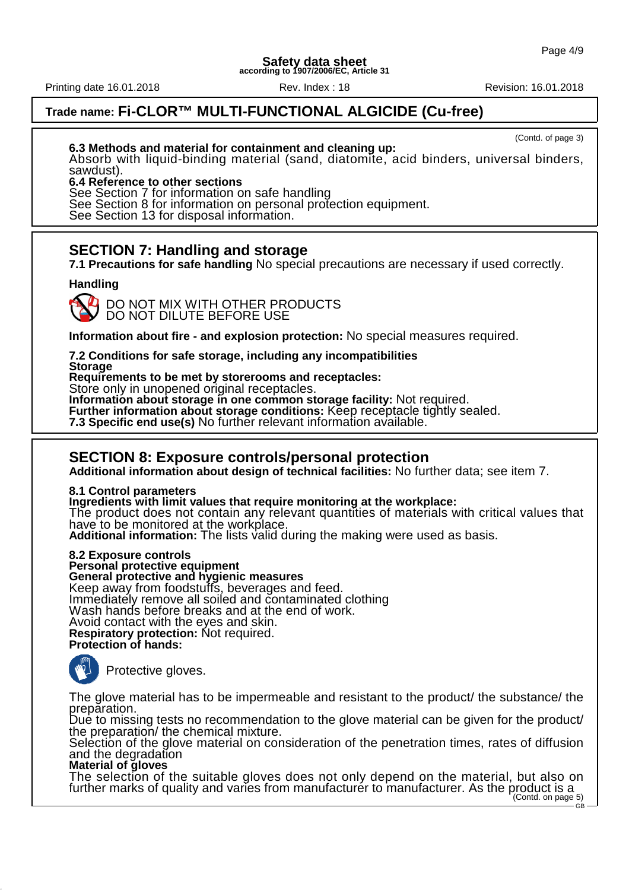Printing date 16.01.2018 Rev. Index : 18 Revision: 16.01.2018

## **Trade name: Fi-CLOR™ MULTI-FUNCTIONAL ALGICIDE (Cu-free)**

(Contd. of page 3)

**6.3 Methods and material for containment and cleaning up:**

Absorb with liquid-binding material (sand, diatomite, acid binders, universal binders, sawdust).

#### **6.4 Reference to other sections**

See Section 7 for information on safe handling

See Section 8 for information on personal protection equipment.

See Section 13 for disposal information.

## **SECTION 7: Handling and storage**

**7.1 Precautions for safe handling** No special precautions are necessary if used correctly.

#### **Handling**



DO NOT MIX WITH OTHER PRODUCTS DO NOT DILUTE BEFORE USE

**Information about fire - and explosion protection:** No special measures required.

**7.2 Conditions for safe storage, including any incompatibilities**

**Storage Requirements to be met by storerooms and receptacles:**

Store only in unopened original receptacles.

**Information about storage in one common storage facility:** Not required.

Further information about storage conditions: Keep receptacle tightly sealed.

**7.3 Specific end use(s)** No further relevant information available.

#### **SECTION 8: Exposure controls/personal protection**

**Additional information about design of technical facilities:** No further data; see item 7.

**8.1 Control parameters**

**Ingredients with limit values that require monitoring at the workplace:**

The product does not contain any relevant quantities of materials with critical values that have to be monitored at the workplace.

**Additional information:** The lists valid during the making were used as basis.

**8.2 Exposure controls**

**Personal protective equipment**

**General protective and hygienic measures**

Keep away from foodstuffs, beverages and feed.

Immediately remove all soiled and contaminated clothing

Wash hands before breaks and at the end of work.

Avoid contact with the eyes and skin. **Respiratory protection:** Not required.

#### **Protection of hands:**



Protective gloves.

The glove material has to be impermeable and resistant to the product/ the substance/ the preparation.

Due to missing tests no recommendation to the glove material can be given for the product/ the preparation/ the chemical mixture.

Selection of the glove material on consideration of the penetration times, rates of diffusion and the degradation

#### **Material of gloves**

The selection of the suitable gloves does not only depend on the material, but also on further marks of quality and varies from manufacturer to manufacturer. As the product is a<br>(Contd. on page 5)

GB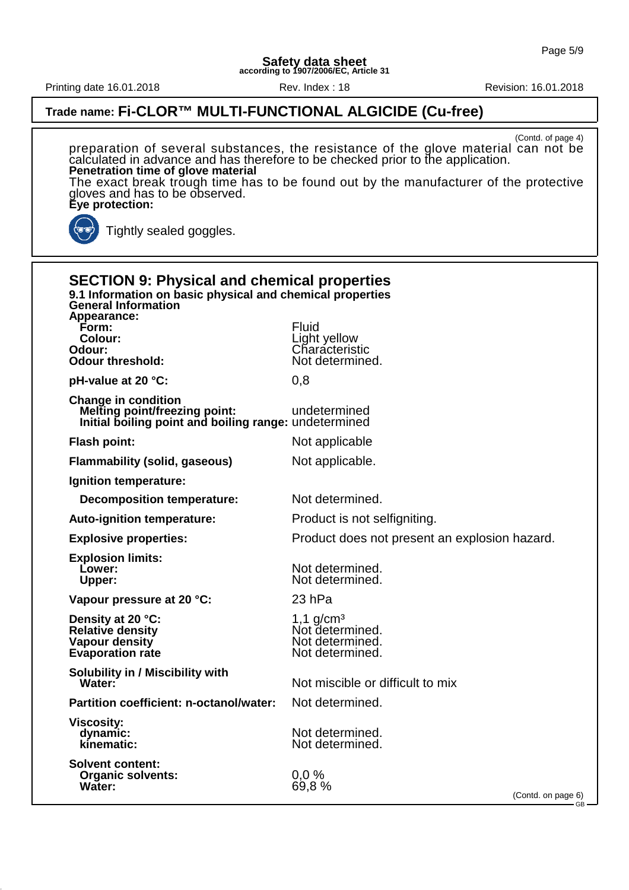Printing date 16.01.2018 Rev. Index : 18 Revision: 16.01.2018

(Contd. of page 4)

### **Trade name: Fi-CLOR™ MULTI-FUNCTIONAL ALGICIDE (Cu-free)**

preparation of several substances, the resistance of the glove material can not be calculated in advance and has therefore to be checked prior to the application. **Penetration time of glove material** The exact break trough time has to be found out by the manufacturer of the protective gloves and has to be observed. **Eye protection:** Tightly sealed goggles. **SECTION 9: Physical and chemical properties 9.1 Information on basic physical and chemical properties General Information Appearance: Form:** Fluid **Colour:** Light yellow<br> **Chandel Chandel Chandel Chandel Chandel Chandel Chandel Chandel Chandel Chandel Chandel Chandel Chandel Chandel Ch Odour:** Characteristic **Odour threshold:** Not determined. **pH-value at 20 °C:** 0,8 **Change in condition Melting point/freezing point:** undetermined **Initial boiling point and boiling range:** undetermined **Flash point:** Not applicable **Flammability (solid, gaseous)** Not applicable. **Ignition temperature: Decomposition temperature:** Not determined. Auto-ignition temperature: **Product is not selfigniting**. **Explosive properties:** Product does not present an explosion hazard. **Explosion limits: Lower:** Not determined. Upper: Not determined. **Vapour pressure at 20 °C:** 23 hPa **Density at 20 °C:** 1,1 g/cm<sup>3</sup><br> **Relative density** Not deter **Relative density**<br> **Vapour density**<br> **Vapour density**<br> **Not determined. Not determined.**<br>Not determined. **Evaporation rate Solubility in / Miscibility with Water:** Not miscible or difficult to mix **Partition coefficient: n-octanol/water:** Not determined. **Viscosity: dynamic:** Not determined.<br> **kinematic:** Not determined. Not determined. **Solvent content: Organic solvents:** 0,0 %<br> **Water:** 69.8 % **Water:** 69,8 % (Contd. on page 6) GB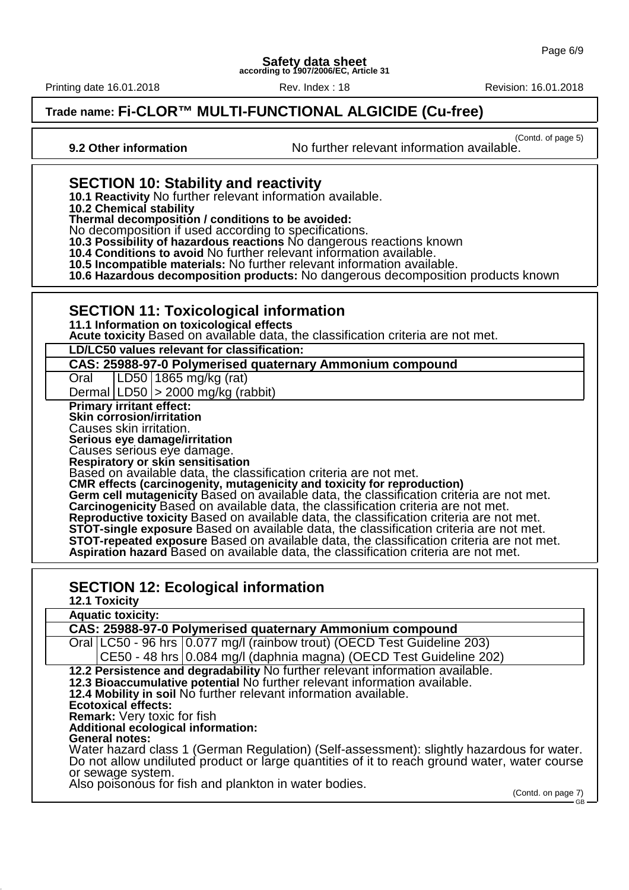Printing date 16.01.2018 Rev. Index : 18 Revision: 16.01.2018

## **Trade name: Fi-CLOR™ MULTI-FUNCTIONAL ALGICIDE (Cu-free)**

(Contd. of page 5)

**9.2 Other information** No further relevant information available.

#### **SECTION 10: Stability and reactivity**

**10.1 Reactivity** No further relevant information available.

**10.2 Chemical stability**

**Thermal decomposition / conditions to be avoided:**

No decomposition if used according to specifications.

**10.3 Possibility of hazardous reactions** No dangerous reactions known

**10.4 Conditions to avoid** No further relevant information available.

**10.5 Incompatible materials:** No further relevant information available.

**10.6 Hazardous decomposition products:** No dangerous decomposition products known

#### **SECTION 11: Toxicological information**

**11.1 Information on toxicological effects**

**Acute toxicity** Based on available data, the classification criteria are not met.

**LD/LC50 values relevant for classification:**

**CAS: 25988-97-0 Polymerised quaternary Ammonium compound**

Oral LD50 1865 mg/kg (rat)

Dermal LD50 > 2000 mg/kg (rabbit)

**Primary irritant effect:**

**Skin corrosion/irritation** Causes skin irritation.

**Serious eye damage/irritation**

Causes serious eye damage.

**Respiratory or skin sensitisation**

Based on available data, the classification criteria are not met.

**CMR effects (carcinogenity, mutagenicity and toxicity for reproduction)**

Germ cell mutagenicity Based on available data, the classification criteria are not met. **Carcinogenicity** Based on available data, the classification criteria are not met. **Reproductive toxicity** Based on available data, the classification criteria are not met. **STOT-single exposure** Based on available data, the classification criteria are not met. **STOT-repeated exposure** Based on available data, the classification criteria are not met. **Aspiration hazard** Based on available data, the classification criteria are not met.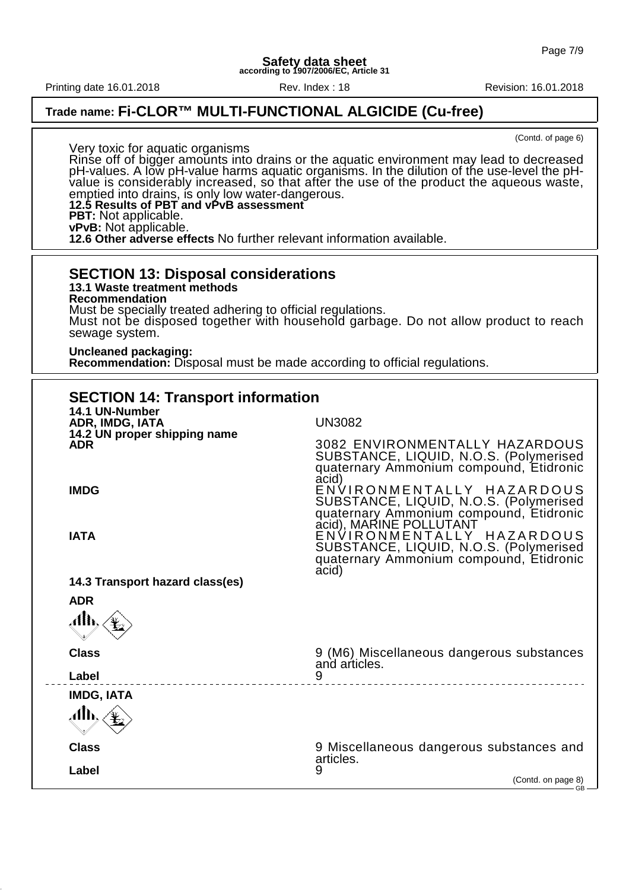Printing date 16.01.2018 Rev. Index : 18 Revision: 16.01.2018

### **Trade name: Fi-CLOR™ MULTI-FUNCTIONAL ALGICIDE (Cu-free)**

(Contd. of page 6)

Very toxic for aquatic organisms Rinse off of bigger amounts into drains or the aquatic environment may lead to decreased pH-values. A low pH-value harms aquatic organisms. In the dilution of the use-level the pHvalue is considerably increased, so that after the use of the product the aqueous waste, emptied into drains, is only low water-dangerous. **12.5 Results of PBT and vPvB assessment PBT:** Not applicable. **vPvB:** Not applicable. **12.6 Other adverse effects** No further relevant information available.

#### **SECTION 13: Disposal considerations 13.1 Waste treatment methods**

**Recommendation**

Must be specially treated adhering to official regulations. Must not be disposed together with household garbage. Do not allow product to reach sewage system.

#### **Uncleaned packaging:**

**Recommendation:** Disposal must be made according to official regulations.

| <b>SECTION 14: Transport information</b>   |                                                                                                                                                    |  |  |  |
|--------------------------------------------|----------------------------------------------------------------------------------------------------------------------------------------------------|--|--|--|
| 14.1 UN-Number<br>ADR, IMDG, IATA          | <b>UN3082</b>                                                                                                                                      |  |  |  |
| 14.2 UN proper shipping name<br><b>ADR</b> | 3082 ENVIRONMENTALLY HAZARDOUS<br>SUBSTANCE, LIQUID, N.O.S. (Polymerised<br>quaternary Ammonium compound, Etidronic<br>acid)                       |  |  |  |
| <b>IMDG</b>                                | ENVIRONMENTALLY HAZARDOUS<br>SUBSTANCE, LIQUID, N.O.S. (Polymerised<br>quaternary Ammonium compound, Etidronic                                     |  |  |  |
| <b>IATA</b>                                | acid), MARINE POLLUTANT<br>ENVIRONMENTALLY_HAZARDOUS<br>SUBSTANCE, LIQUID, N.O.S. (Polymerised<br>quaternary Ammonium compound, Etidronic<br>acid) |  |  |  |
| 14.3 Transport hazard class(es)            |                                                                                                                                                    |  |  |  |
| <b>ADR</b><br>Alh,                         |                                                                                                                                                    |  |  |  |
| <b>Class</b>                               | 9 (M6) Miscellaneous dangerous substances<br>and articles.                                                                                         |  |  |  |
| Label                                      |                                                                                                                                                    |  |  |  |
| <b>IMDG, IATA</b>                          |                                                                                                                                                    |  |  |  |
| .alb.,                                     |                                                                                                                                                    |  |  |  |
| <b>Class</b>                               | 9 Miscellaneous dangerous substances and<br>articles.                                                                                              |  |  |  |
| Label                                      | 9<br>(Contd. on page 8)<br>$\overline{\phantom{1}}$ GB $-$                                                                                         |  |  |  |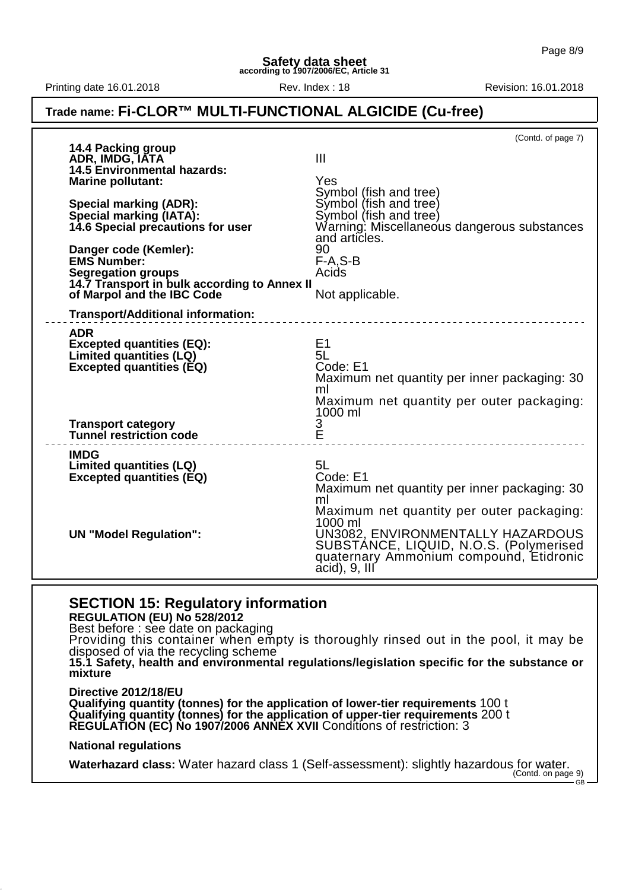Printing date 16.01.2018 **Rev.** Index : 18 Rev. Index : 18 Revision: 16.01.2018

#### **Trade name: Fi-CLOR™ MULTI-FUNCTIONAL ALGICIDE (Cu-free)**

|                                                                            | (Contd. of page 7)                                               |
|----------------------------------------------------------------------------|------------------------------------------------------------------|
| 14.4 Packing group<br>ADR, IMDG, IATA                                      | $\mathbf{III}$                                                   |
| <b>14.5 Environmental hazards:</b>                                         |                                                                  |
| <b>Marine pollutant:</b>                                                   | Yes                                                              |
| <b>Special marking (ADR):</b>                                              | Symbol (fish and tree)<br>Symbol (fish and tree)                 |
| Special marking (IATA):                                                    | Symbol (fish and tree)                                           |
| 14.6 Special precautions for user                                          | Warning: Miscellaneous dangerous substances                      |
|                                                                            | and articles.<br>90                                              |
| Danger code (Kemler):<br>EMS Number:                                       | $F-A.S-B$                                                        |
| <b>Segregation groups</b>                                                  | Acids                                                            |
| 14.7 Transport in bulk according to Annex II<br>of Marpol and the IBC Code | Not applicable.                                                  |
|                                                                            |                                                                  |
| <b>Transport/Additional information:</b>                                   |                                                                  |
| <b>ADR</b>                                                                 |                                                                  |
| <b>Excepted quantities (EQ):</b><br>Limited quantities (LQ)                | E1<br>5L                                                         |
| <b>Excepted quantities (EQ)</b>                                            | Code: E1                                                         |
|                                                                            | Maximum net quantity per inner packaging: 30                     |
|                                                                            | ml<br>Maximum net quantity per outer packaging:                  |
|                                                                            | 1000 ml                                                          |
| <b>Transport category</b>                                                  | 3                                                                |
| <b>Tunnel restriction code</b>                                             | Ě                                                                |
| <b>IMDG</b>                                                                |                                                                  |
| <b>Limited quantities (LQ)</b><br><b>Excepted quantities (EQ)</b>          | 5L<br>Code: E1                                                   |
|                                                                            | Maximum net quantity per inner packaging: 30                     |
|                                                                            | ml                                                               |
|                                                                            | Maximum net quantity per outer packaging:<br>1000 ml             |
| <b>UN "Model Regulation":</b>                                              | UN3082, ENVIRONMENTALLY HAZARDOUS                                |
|                                                                            | SUBSTÁNCE, LIQUID, N.O.S. (Polymerised                           |
|                                                                            | quaternary Ammonium compound, Etidronic<br>$\alpha$ cid), 9, III |
|                                                                            |                                                                  |

#### **SECTION 15: Regulatory information**

**REGULATION (EU) No 528/2012**

Best before : see date on packaging

Providing this container when empty is thoroughly rinsed out in the pool, it may be disposed of via the recycling scheme

**15.1 Safety, health and environmental regulations/legislation specific for the substance or mixture**

**Directive 2012/18/EU Qualifying quantity (tonnes) for the application of lower-tier requirements** 100 t **Qualifying quantity (tonnes) for the application of upper-tier requirements** 200 t **REGULATION (EC) No 1907/2006 ANNEX XVII** Conditions of restriction: 3

#### **National regulations**

**Waterhazard class:** Water hazard class 1 (Self-assessment): slightly hazardous for water.<br>(Contd. on page 9)

 $\overline{G}$